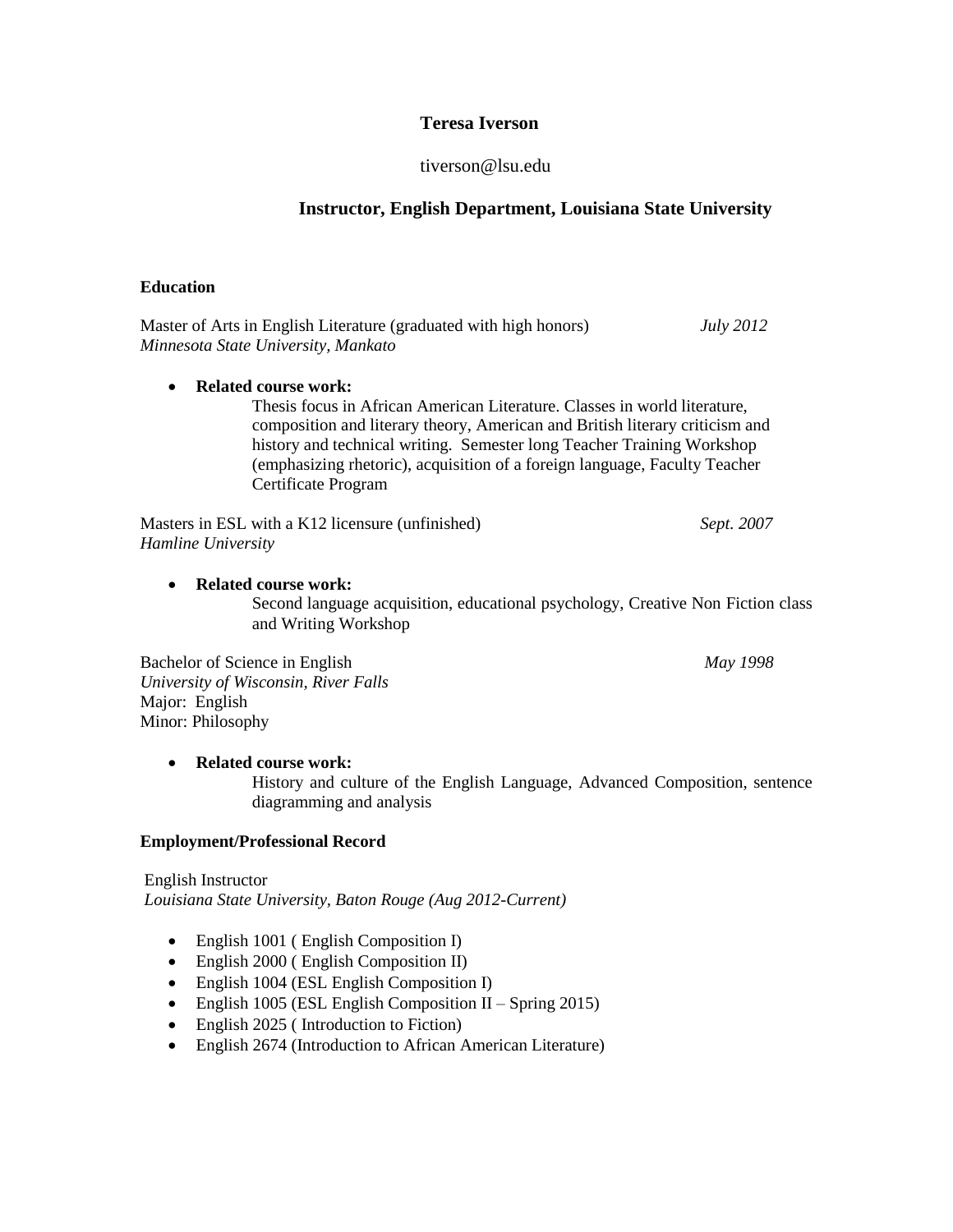# **Teresa Iverson**

## tiverson@lsu.edu

## **Instructor, English Department, Louisiana State University**

#### **Education**

Master of Arts in English Literature (graduated with high honors) *July 2012 Minnesota State University, Mankato*

**Related course work:** 

Thesis focus in African American Literature. Classes in world literature, composition and literary theory, American and British literary criticism and history and technical writing. Semester long Teacher Training Workshop (emphasizing rhetoric), acquisition of a foreign language, Faculty Teacher Certificate Program

Masters in ESL with a K12 licensure (unfinished) *Sept. 2007 Hamline University*

#### **Related course work:**

Second language acquisition, educational psychology, Creative Non Fiction class and Writing Workshop

Bachelor of Science in English *May 1998 University of Wisconsin, River Falls* Major: English Minor: Philosophy

## **Related course work:**

History and culture of the English Language, Advanced Composition, sentence diagramming and analysis

#### **Employment/Professional Record**

English Instructor *Louisiana State University, Baton Rouge (Aug 2012-Current)*

- English 1001 (English Composition I)
- English 2000 (English Composition II)
- English 1004 (ESL English Composition I)
- English 1005 (ESL English Composition II Spring 2015)
- English 2025 (Introduction to Fiction)
- English 2674 (Introduction to African American Literature)